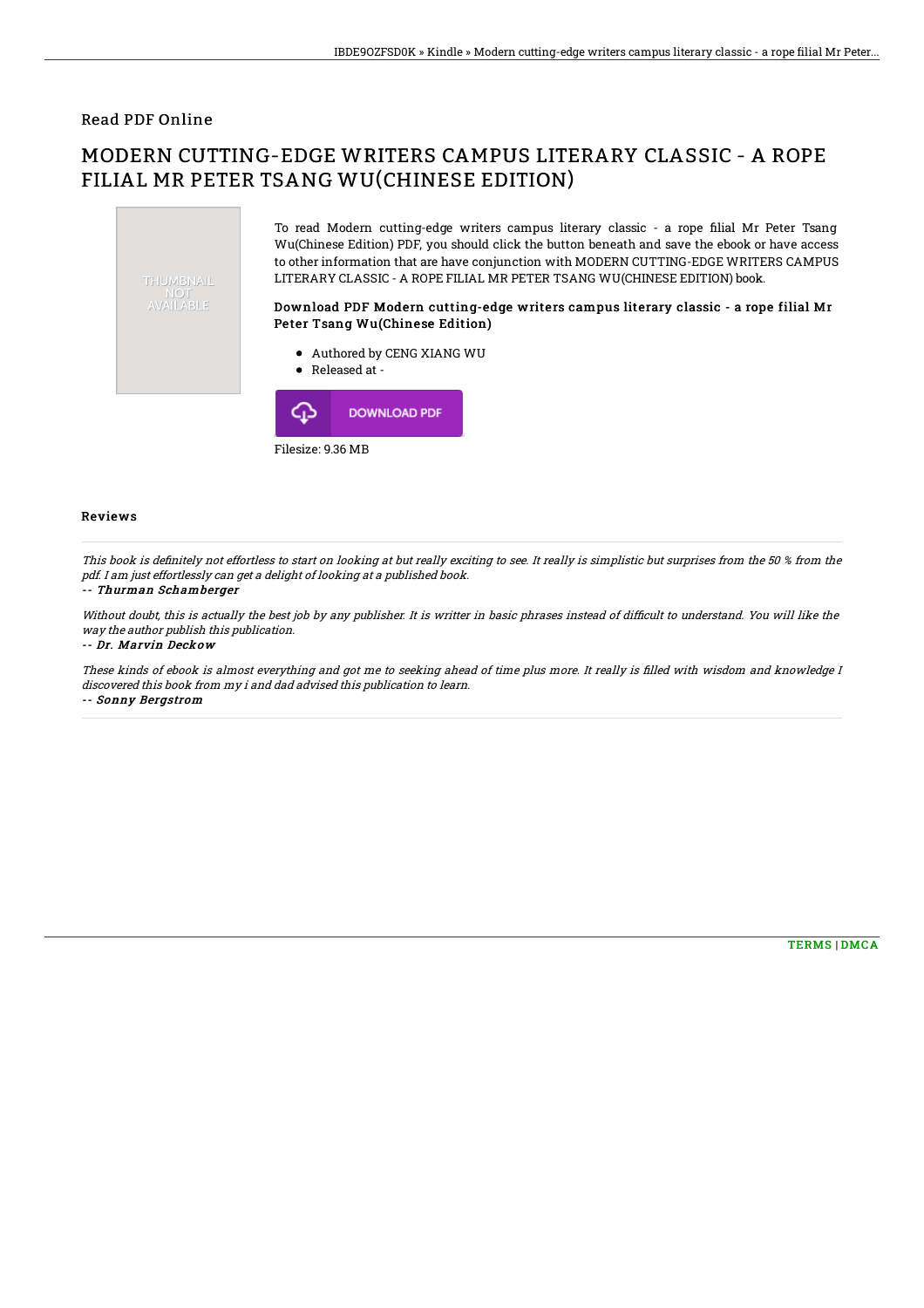### Read PDF Online

# MODERN CUTTING-EDGE WRITERS CAMPUS LITERARY CLASSIC - A ROPE FILIAL MR PETER TSANG WU(CHINESE EDITION)



Filesize: 9.36 MB

#### Reviews

This book is definitely not effortless to start on looking at but really exciting to see. It really is simplistic but surprises from the 50 % from the pdf. I am just effortlessly can get <sup>a</sup> delight of looking at <sup>a</sup> published book.

#### -- Thurman Schamberger

Without doubt, this is actually the best job by any publisher. It is writter in basic phrases instead of difficult to understand. You will like the way the author publish this publication.

-- Dr. Marvin Deckow

These kinds of ebook is almost everything and got me to seeking ahead of time plus more. It really is filled with wisdom and knowledge I discovered this book from my i and dad advised this publication to learn. -- Sonny Bergstrom